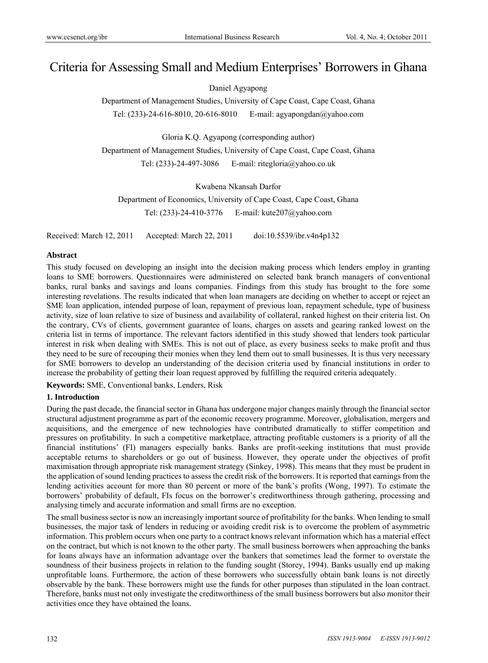# Criteria for Assessing Small and Medium Enterprises' Borrowers in Ghana

Daniel Agyapong

Department of Management Studies, University of Cape Coast, Cape Coast, Ghana Tel: (233)-24-616-8010, 20-616-8010 E-mail: agyapongdan@yahoo.com

Gloria K.Q. Agyapong (corresponding author) Department of Management Studies, University of Cape Coast, Cape Coast, Ghana Tel: (233)-24-497-3086 E-mail: ritegloria@yahoo.co.uk

Kwabena Nkansah Darfor

Department of Economics, University of Cape Coast, Cape Coast, Ghana Tel: (233)-24-410-3776 E-mail: kute207@yahoo.com

Received: March 12, 2011 Accepted: March 22, 2011 doi:10.5539/ibr.v4n4p132

# **Abstract**

This study focused on developing an insight into the decision making process which lenders employ in granting loans to SME borrowers. Questionnaires were administered on selected bank branch managers of conventional banks, rural banks and savings and loans companies. Findings from this study has brought to the fore some interesting revelations. The results indicated that when loan managers are deciding on whether to accept or reject an SME loan application, intended purpose of loan, repayment of previous loan, repayment schedule, type of business activity, size of loan relative to size of business and availability of collateral, ranked highest on their criteria list. On the contrary, CVs of clients, government guarantee of loans, charges on assets and gearing ranked lowest on the criteria list in terms of importance. The relevant factors identified in this study showed that lenders took particular interest in risk when dealing with SMEs. This is not out of place, as every business seeks to make profit and thus they need to be sure of recouping their monies when they lend them out to small businesses. It is thus very necessary for SME borrowers to develop an understanding of the decision criteria used by financial institutions in order to increase the probability of getting their loan request approved by fulfilling the required criteria adequately.

**Keywords:** SME, Conventional banks, Lenders, Risk

### **1. Introduction**

During the past decade, the financial sector in Ghana has undergone major changes mainly through the financial sector structural adjustment programme as part of the economic recovery programme. Moreover, globalisation, mergers and acquisitions, and the emergence of new technologies have contributed dramatically to stiffer competition and pressures on profitability. In such a competitive marketplace, attracting profitable customers is a priority of all the financial institutions' (FI) managers especially banks. Banks are profit-seeking institutions that must provide acceptable returns to shareholders or go out of business. However, they operate under the objectives of profit maximisation through appropriate risk management strategy (Sinkey, 1998). This means that they must be prudent in the application of sound lending practices to assess the credit risk of the borrowers. It is reported that earnings from the lending activities account for more than 80 percent or more of the bank's profits (Wong, 1997). To estimate the borrowers' probability of default, FIs focus on the borrower's creditworthiness through gathering, processing and analysing timely and accurate information and small firms are no exception.

The small business sector is now an increasingly important source of profitability for the banks. When lending to small businesses, the major task of lenders in reducing or avoiding credit risk is to overcome the problem of asymmetric information. This problem occurs when one party to a contract knows relevant information which has a material effect on the contract, but which is not known to the other party. The small business borrowers when approaching the banks for loans always have an information advantage over the bankers that sometimes lead the former to overstate the soundness of their business projects in relation to the funding sought (Storey, 1994). Banks usually end up making unprofitable loans. Furthermore, the action of these borrowers who successfully obtain bank loans is not directly observable by the bank. These borrowers might use the funds for other purposes than stipulated in the loan contract. Therefore, banks must not only investigate the creditworthiness of the small business borrowers but also monitor their activities once they have obtained the loans.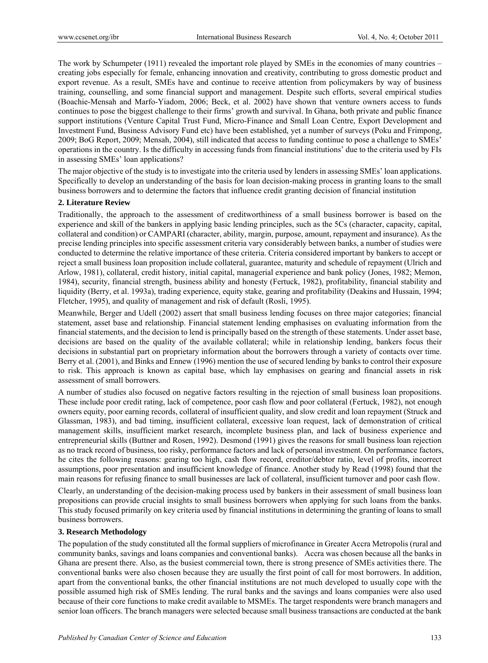The work by Schumpeter (1911) revealed the important role played by SMEs in the economies of many countries – creating jobs especially for female, enhancing innovation and creativity, contributing to gross domestic product and export revenue. As a result, SMEs have and continue to receive attention from policymakers by way of business training, counselling, and some financial support and management. Despite such efforts, several empirical studies (Boachie-Mensah and Marfo-Yiadom, 2006; Beck, et al. 2002) have shown that venture owners access to funds continues to pose the biggest challenge to their firms' growth and survival. In Ghana, both private and public finance support institutions (Venture Capital Trust Fund, Micro-Finance and Small Loan Centre, Export Development and Investment Fund, Business Advisory Fund etc) have been established, yet a number of surveys (Poku and Frimpong, 2009; BoG Report, 2009; Mensah, 2004), still indicated that access to funding continue to pose a challenge to SMEs' operations in the country. Is the difficulty in accessing funds from financial institutions' due to the criteria used by FIs in assessing SMEs' loan applications?

The major objective of the study is to investigate into the criteria used by lenders in assessing SMEs' loan applications. Specifically to develop an understanding of the basis for loan decision-making process in granting loans to the small business borrowers and to determine the factors that influence credit granting decision of financial institution

# **2. Literature Review**

Traditionally, the approach to the assessment of creditworthiness of a small business borrower is based on the experience and skill of the bankers in applying basic lending principles, such as the 5Cs (character, capacity, capital, collateral and condition) or CAMPARI (character, ability, margin, purpose, amount, repayment and insurance). As the precise lending principles into specific assessment criteria vary considerably between banks, a number of studies were conducted to determine the relative importance of these criteria. Criteria considered important by bankers to accept or reject a small business loan proposition include collateral, guarantee, maturity and schedule of repayment (Ulrich and Arlow, 1981), collateral, credit history, initial capital, managerial experience and bank policy (Jones, 1982; Memon, 1984), security, financial strength, business ability and honesty (Fertuck, 1982), profitability, financial stability and liquidity (Berry, et al. 1993a), trading experience, equity stake, gearing and profitability (Deakins and Hussain, 1994; Fletcher, 1995), and quality of management and risk of default (Rosli, 1995).

Meanwhile, Berger and Udell (2002) assert that small business lending focuses on three major categories; financial statement, asset base and relationship. Financial statement lending emphasises on evaluating information from the financial statements, and the decision to lend is principally based on the strength of these statements. Under asset base, decisions are based on the quality of the available collateral; while in relationship lending, bankers focus their decisions in substantial part on proprietary information about the borrowers through a variety of contacts over time. Berry et al. (2001), and Binks and Ennew (1996) mention the use of secured lending by banks to control their exposure to risk. This approach is known as capital base, which lay emphasises on gearing and financial assets in risk assessment of small borrowers.

A number of studies also focused on negative factors resulting in the rejection of small business loan propositions. These include poor credit rating, lack of competence, poor cash flow and poor collateral (Fertuck, 1982), not enough owners equity, poor earning records, collateral of insufficient quality, and slow credit and loan repayment (Struck and Glassman, 1983), and bad timing, insufficient collateral, excessive loan request, lack of demonstration of critical management skills, insufficient market research, incomplete business plan, and lack of business experience and entrepreneurial skills (Buttner and Rosen, 1992). Desmond (1991) gives the reasons for small business loan rejection as no track record of business, too risky, performance factors and lack of personal investment. On performance factors, he cites the following reasons: gearing too high, cash flow record, creditor/debtor ratio, level of profits, incorrect assumptions, poor presentation and insufficient knowledge of finance. Another study by Read (1998) found that the main reasons for refusing finance to small businesses are lack of collateral, insufficient turnover and poor cash flow.

Clearly, an understanding of the decision-making process used by bankers in their assessment of small business loan propositions can provide crucial insights to small business borrowers when applying for such loans from the banks. This study focused primarily on key criteria used by financial institutions in determining the granting of loans to small business borrowers.

### **3. Research Methodology**

The population of the study constituted all the formal suppliers of microfinance in Greater Accra Metropolis (rural and community banks, savings and loans companies and conventional banks). Accra was chosen because all the banks in Ghana are present there. Also, as the busiest commercial town, there is strong presence of SMEs activities there. The conventional banks were also chosen because they are usually the first point of call for most borrowers. In addition, apart from the conventional banks, the other financial institutions are not much developed to usually cope with the possible assumed high risk of SMEs lending. The rural banks and the savings and loans companies were also used because of their core functions to make credit available to MSMEs. The target respondents were branch managers and senior loan officers. The branch managers were selected because small business transactions are conducted at the bank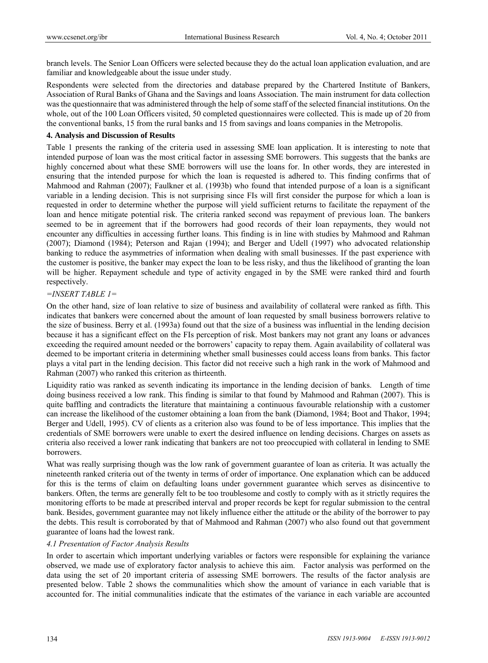branch levels. The Senior Loan Officers were selected because they do the actual loan application evaluation, and are familiar and knowledgeable about the issue under study.

Respondents were selected from the directories and database prepared by the Chartered Institute of Bankers, Association of Rural Banks of Ghana and the Savings and loans Association. The main instrument for data collection was the questionnaire that was administered through the help of some staff of the selected financial institutions. On the whole, out of the 100 Loan Officers visited, 50 completed questionnaires were collected. This is made up of 20 from the conventional banks, 15 from the rural banks and 15 from savings and loans companies in the Metropolis.

# **4. Analysis and Discussion of Results**

Table 1 presents the ranking of the criteria used in assessing SME loan application. It is interesting to note that intended purpose of loan was the most critical factor in assessing SME borrowers. This suggests that the banks are highly concerned about what these SME borrowers will use the loans for. In other words, they are interested in ensuring that the intended purpose for which the loan is requested is adhered to. This finding confirms that of Mahmood and Rahman (2007); Faulkner et al. (1993b) who found that intended purpose of a loan is a significant variable in a lending decision. This is not surprising since FIs will first consider the purpose for which a loan is requested in order to determine whether the purpose will yield sufficient returns to facilitate the repayment of the loan and hence mitigate potential risk. The criteria ranked second was repayment of previous loan. The bankers seemed to be in agreement that if the borrowers had good records of their loan repayments, they would not encounter any difficulties in accessing further loans. This finding is in line with studies by Mahmood and Rahman (2007); Diamond (1984); Peterson and Rajan (1994); and Berger and Udell (1997) who advocated relationship banking to reduce the asymmetries of information when dealing with small businesses. If the past experience with the customer is positive, the banker may expect the loan to be less risky, and thus the likelihood of granting the loan will be higher. Repayment schedule and type of activity engaged in by the SME were ranked third and fourth respectively.

### *=INSERT TABLE 1=*

On the other hand, size of loan relative to size of business and availability of collateral were ranked as fifth. This indicates that bankers were concerned about the amount of loan requested by small business borrowers relative to the size of business. Berry et al. (1993a) found out that the size of a business was influential in the lending decision because it has a significant effect on the FIs perception of risk. Most bankers may not grant any loans or advances exceeding the required amount needed or the borrowers' capacity to repay them. Again availability of collateral was deemed to be important criteria in determining whether small businesses could access loans from banks. This factor plays a vital part in the lending decision. This factor did not receive such a high rank in the work of Mahmood and Rahman (2007) who ranked this criterion as thirteenth.

Liquidity ratio was ranked as seventh indicating its importance in the lending decision of banks. Length of time doing business received a low rank. This finding is similar to that found by Mahmood and Rahman (2007). This is quite baffling and contradicts the literature that maintaining a continuous favourable relationship with a customer can increase the likelihood of the customer obtaining a loan from the bank (Diamond, 1984; Boot and Thakor, 1994; Berger and Udell, 1995). CV of clients as a criterion also was found to be of less importance. This implies that the credentials of SME borrowers were unable to exert the desired influence on lending decisions. Charges on assets as criteria also received a lower rank indicating that bankers are not too preoccupied with collateral in lending to SME borrowers.

What was really surprising though was the low rank of government guarantee of loan as criteria. It was actually the nineteenth ranked criteria out of the twenty in terms of order of importance. One explanation which can be adduced for this is the terms of claim on defaulting loans under government guarantee which serves as disincentive to bankers. Often, the terms are generally felt to be too troublesome and costly to comply with as it strictly requires the monitoring efforts to be made at prescribed interval and proper records be kept for regular submission to the central bank. Besides, government guarantee may not likely influence either the attitude or the ability of the borrower to pay the debts. This result is corroborated by that of Mahmood and Rahman (2007) who also found out that government guarantee of loans had the lowest rank.

### *4.1 Presentation of Factor Analysis Results*

In order to ascertain which important underlying variables or factors were responsible for explaining the variance observed, we made use of exploratory factor analysis to achieve this aim. Factor analysis was performed on the data using the set of 20 important criteria of assessing SME borrowers. The results of the factor analysis are presented below. Table 2 shows the communalities which show the amount of variance in each variable that is accounted for. The initial communalities indicate that the estimates of the variance in each variable are accounted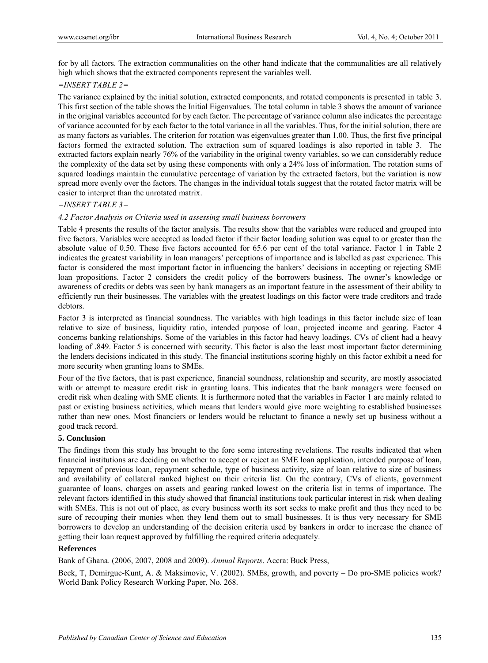for by all factors. The extraction communalities on the other hand indicate that the communalities are all relatively high which shows that the extracted components represent the variables well.

# *=INSERT TABLE 2=*

The variance explained by the initial solution, extracted components, and rotated components is presented in table 3. This first section of the table shows the Initial Eigenvalues. The total column in table 3 shows the amount of variance in the original variables accounted for by each factor. The percentage of variance column also indicates the percentage of variance accounted for by each factor to the total variance in all the variables. Thus, for the initial solution, there are as many factors as variables. The criterion for rotation was eigenvalues greater than 1.00. Thus, the first five principal factors formed the extracted solution. The extraction sum of squared loadings is also reported in table 3. The extracted factors explain nearly 76% of the variability in the original twenty variables, so we can considerably reduce the complexity of the data set by using these components with only a 24% loss of information. The rotation sums of squared loadings maintain the cumulative percentage of variation by the extracted factors, but the variation is now spread more evenly over the factors. The changes in the individual totals suggest that the rotated factor matrix will be easier to interpret than the unrotated matrix.

# *=INSERT TABLE 3=*

### *4.2 Factor Analysis on Criteria used in assessing small business borrowers*

Table 4 presents the results of the factor analysis. The results show that the variables were reduced and grouped into five factors. Variables were accepted as loaded factor if their factor loading solution was equal to or greater than the absolute value of 0.50. These five factors accounted for 65.6 per cent of the total variance. Factor 1 in Table 2 indicates the greatest variability in loan managers' perceptions of importance and is labelled as past experience. This factor is considered the most important factor in influencing the bankers' decisions in accepting or rejecting SME loan propositions. Factor 2 considers the credit policy of the borrowers business. The owner's knowledge or awareness of credits or debts was seen by bank managers as an important feature in the assessment of their ability to efficiently run their businesses. The variables with the greatest loadings on this factor were trade creditors and trade debtors.

Factor 3 is interpreted as financial soundness. The variables with high loadings in this factor include size of loan relative to size of business, liquidity ratio, intended purpose of loan, projected income and gearing. Factor 4 concerns banking relationships. Some of the variables in this factor had heavy loadings. CVs of client had a heavy loading of .849. Factor 5 is concerned with security. This factor is also the least most important factor determining the lenders decisions indicated in this study. The financial institutions scoring highly on this factor exhibit a need for more security when granting loans to SMEs.

Four of the five factors, that is past experience, financial soundness, relationship and security, are mostly associated with or attempt to measure credit risk in granting loans. This indicates that the bank managers were focused on credit risk when dealing with SME clients. It is furthermore noted that the variables in Factor 1 are mainly related to past or existing business activities, which means that lenders would give more weighting to established businesses rather than new ones. Most financiers or lenders would be reluctant to finance a newly set up business without a good track record.

### **5. Conclusion**

The findings from this study has brought to the fore some interesting revelations. The results indicated that when financial institutions are deciding on whether to accept or reject an SME loan application, intended purpose of loan, repayment of previous loan, repayment schedule, type of business activity, size of loan relative to size of business and availability of collateral ranked highest on their criteria list. On the contrary, CVs of clients, government guarantee of loans, charges on assets and gearing ranked lowest on the criteria list in terms of importance. The relevant factors identified in this study showed that financial institutions took particular interest in risk when dealing with SMEs. This is not out of place, as every business worth its sort seeks to make profit and thus they need to be sure of recouping their monies when they lend them out to small businesses. It is thus very necessary for SME borrowers to develop an understanding of the decision criteria used by bankers in order to increase the chance of getting their loan request approved by fulfilling the required criteria adequately.

### **References**

Bank of Ghana. (2006, 2007, 2008 and 2009). *Annual Reports*. Accra: Buck Press,

Beck, T, Demirguc-Kunt, A. & Maksimovic, V. (2002). SMEs, growth, and poverty – Do pro-SME policies work? World Bank Policy Research Working Paper, No. 268.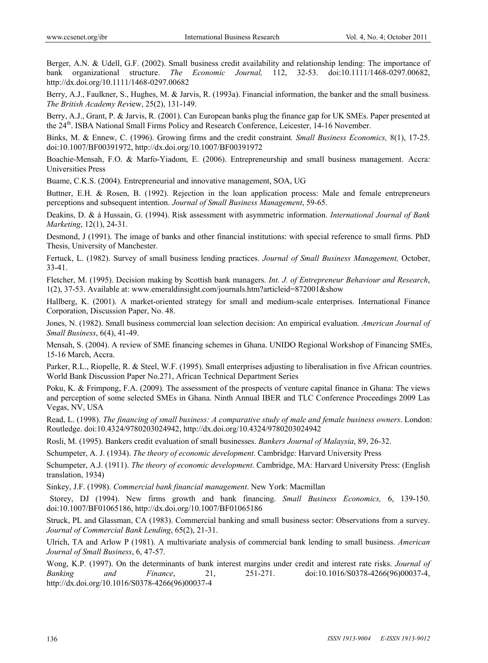Berger, A.N. & Udell, G.F. (2002). Small business credit availability and relationship lending: The importance of bank organizational structure. *The Economic Journal,* 112, 32-53. doi:10.1111/1468-0297.00682, http://dx.doi.org/10.1111/1468-0297.00682

Berry, A.J., Faulkner, S., Hughes, M. & Jarvis, R. (1993a). Financial information, the banker and the small business. *The British Academy Rev*iew, 25(2), 131-149.

Berry, A.J., Grant, P. & Jarvis, R. (2001). Can European banks plug the finance gap for UK SMEs. Paper presented at the 24th. ISBA National Small Firms Policy and Research Conference, Leicester, 14-16 November.

Binks, M. & Ennew, C. (1996). Growing firms and the credit constraint*. Small Business Economics,* 8(1), 17-25. doi:10.1007/BF00391972, http://dx.doi.org/10.1007/BF00391972

Boachie-Mensah, F.O. & Marfo-Yiadom, E. (2006). Entrepreneurship and small business management. Accra: Universities Press

Buame, C.K.S. (2004). Entrepreneurial and innovative management, SOA, UG

Buttner, E.H. & Rosen, B. (1992). Rejection in the loan application process: Male and female entrepreneurs perceptions and subsequent intention. *Journal of Small Business Management*, 59-65.

Deakins, D. & á Hussain, G. (1994). Risk assessment with asymmetric information. *International Journal of Bank Marketing*, 12(1), 24-31.

Desmond, J (1991). The image of banks and other financial institutions: with special reference to small firms. PhD Thesis, University of Manchester.

Fertuck, L. (1982). Survey of small business lending practices. *Journal of Small Business Management,* October, 33-41.

Fletcher, M. (1995). Decision making by Scottish bank managers. *Int. J. of Entrepreneur Behaviour and Research*, 1(2), 37-53. Available at: www.emeraldinsight.com/journals.htm?articleid=872001&show

Hallberg, K. (2001). A market-oriented strategy for small and medium-scale enterprises. International Finance Corporation, Discussion Paper, No. 48.

Jones, N. (1982). Small business commercial loan selection decision: An empirical evaluation. *American Journal of Small Business*, 6(4), 41-49.

Mensah, S. (2004). A review of SME financing schemes in Ghana. UNIDO Regional Workshop of Financing SMEs, 15-16 March, Accra.

Parker, R.L., Riopelle, R. & Steel, W.F. (1995). Small enterprises adjusting to liberalisation in five African countries. World Bank Discussion Paper No.271, African Technical Department Series

Poku, K. & Frimpong, F.A. (2009). The assessment of the prospects of venture capital finance in Ghana: The views and perception of some selected SMEs in Ghana. Ninth Annual IBER and TLC Conference Proceedings 2009 Las Vegas, NV, USA

Read, L. (1998). *The financing of small business: A comparative study of male and female business owners*. London: Routledge. doi:10.4324/9780203024942, http://dx.doi.org/10.4324/9780203024942

Rosli, M. (1995). Bankers credit evaluation of small businesses. *Bankers Journal of Malaysia*, 89, 26-32.

Schumpeter, A. J. (1934). *The theory of economic development*. Cambridge: Harvard University Press

Schumpeter, A.J. (1911). *The theory of economic development*. Cambridge, MA: Harvard University Press: (English translation, 1934)

Sinkey, J.F. (1998). *Commercial bank financial management*. New York: Macmillan

 Storey, DJ (1994). New firms growth and bank financing. *Small Business Economics,* 6, 139-150. doi:10.1007/BF01065186, http://dx.doi.org/10.1007/BF01065186

Struck, PL and Glassman, CA (1983). Commercial banking and small business sector: Observations from a survey. *Journal of Commercial Bank Lending*, 65(2), 21-31.

Ulrich, TA and Arlow P (1981). A multivariate analysis of commercial bank lending to small business. *American Journal of Small Business*, 6, 47-57.

Wong, K.P. (1997). On the determinants of bank interest margins under credit and interest rate risks. *Journal of Banking and Finance*, 21, 251-271. doi:10.1016/S0378-4266(96)00037-4, http://dx.doi.org/10.1016/S0378-4266(96)00037-4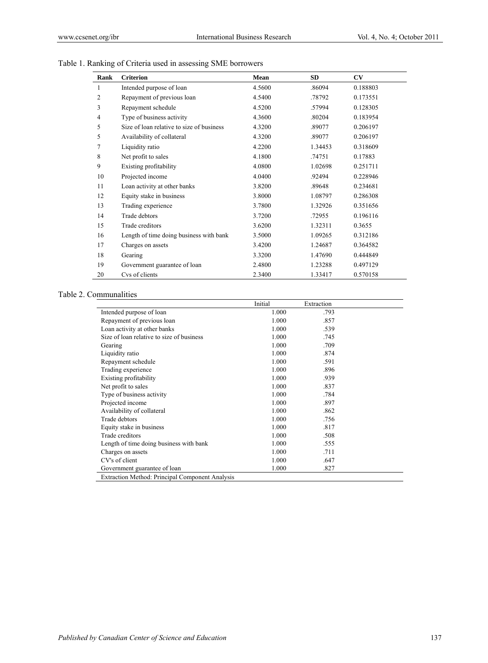| Rank | <b>Criterion</b>                          | Mean   | <b>SD</b> | $\mathbf{C}\mathbf{V}$ |
|------|-------------------------------------------|--------|-----------|------------------------|
| 1    | Intended purpose of loan                  | 4.5600 | .86094    | 0.188803               |
| 2    | Repayment of previous loan                | 4.5400 | .78792    | 0.173551               |
| 3    | Repayment schedule                        | 4.5200 | .57994    | 0.128305               |
| 4    | Type of business activity                 | 4.3600 | .80204    | 0.183954               |
| 5    | Size of loan relative to size of business | 4.3200 | .89077    | 0.206197               |
| 5    | Availability of collateral                | 4.3200 | .89077    | 0.206197               |
| 7    | Liquidity ratio                           | 4.2200 | 1.34453   | 0.318609               |
| 8    | Net profit to sales                       | 4.1800 | .74751    | 0.17883                |
| 9    | Existing profitability                    | 4.0800 | 1.02698   | 0.251711               |
| 10   | Projected income                          | 4.0400 | .92494    | 0.228946               |
| 11   | Loan activity at other banks              | 3.8200 | .89648    | 0.234681               |
| 12   | Equity stake in business                  | 3.8000 | 1.08797   | 0.286308               |
| 13   | Trading experience                        | 3.7800 | 1.32926   | 0.351656               |
| 14   | Trade debtors                             | 3.7200 | .72955    | 0.196116               |
| 15   | Trade creditors                           | 3.6200 | 1.32311   | 0.3655                 |
| 16   | Length of time doing business with bank   | 3.5000 | 1.09265   | 0.312186               |
| 17   | Charges on assets                         | 3.4200 | 1.24687   | 0.364582               |
| 18   | Gearing                                   | 3.3200 | 1.47690   | 0.444849               |
| 19   | Government guarantee of loan              | 2.4800 | 1.23288   | 0.497129               |
| 20   | Cys of clients                            | 2.3400 | 1.33417   | 0.570158               |

Table 1. Ranking of Criteria used in assessing SME borrowers

# Table 2. Communalities

|                                                 | Initial | Extraction |  |  |
|-------------------------------------------------|---------|------------|--|--|
| Intended purpose of loan                        | 1.000   | .793       |  |  |
| Repayment of previous loan                      | 1.000   | .857       |  |  |
| Loan activity at other banks                    | 1.000   | .539       |  |  |
| Size of loan relative to size of business       | 1.000   | .745       |  |  |
| Gearing                                         | 1.000   | .709       |  |  |
| Liquidity ratio                                 | 1.000   | .874       |  |  |
| Repayment schedule                              | 1.000   | .591       |  |  |
| Trading experience                              | 1.000   | .896       |  |  |
| Existing profitability                          | 1.000   | .939       |  |  |
| Net profit to sales                             | 1.000   | .837       |  |  |
| Type of business activity                       | 1.000   | .784       |  |  |
| Projected income                                | 1.000   | .897       |  |  |
| Availability of collateral                      | 1.000   | .862       |  |  |
| Trade debtors                                   | 1.000   | .756       |  |  |
| Equity stake in business                        | 1.000   | .817       |  |  |
| Trade creditors                                 | 1.000   | .508       |  |  |
| Length of time doing business with bank         | 1.000   | .555       |  |  |
| Charges on assets                               | 1.000   | .711       |  |  |
| CV's of client                                  | 1.000   | .647       |  |  |
| Government guarantee of loan                    | 1.000   | .827       |  |  |
| Extraction Method: Principal Component Analysis |         |            |  |  |